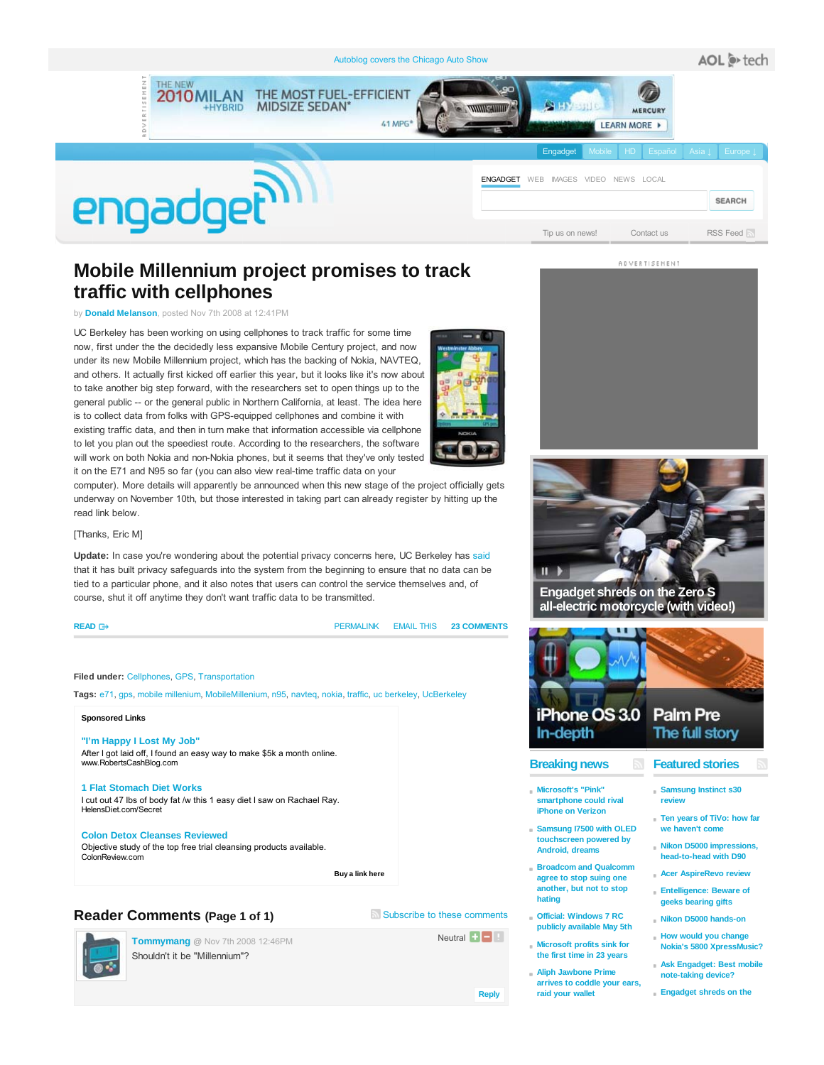

# **Mobile Millennium project promises to track traffic with cellphones**

by **Donald Melanson**, posted Nov 7th 2008 at 12:41PM

UC Berkeley has been working on using cellphones to track traffic for some time now, first under the the decidedly less expansive Mobile Century project, and now under its new Mobile Millennium project, which has the backing of Nokia, NAVTEQ, and others. It actually first kicked off earlier this year, but it looks like it's now about to take another big step forward, with the researchers set to open things up to the general public -- or the general public in Northern California, at least. The idea here is to collect data from folks with GPS-equipped cellphones and combine it with existing traffic data, and then in turn make that information accessible via cellphone to let you plan out the speediest route. According to the researchers, the software will work on both Nokia and non-Nokia phones, but it seems that they've only tested it on the E71 and N95 so far (you can also view real-time traffic data on your



computer). More details will apparently be announced when this new stage of the project officially gets underway on November 10th, but those interested in taking part can already register by hitting up the read link below.

### [Thanks, Eric M]

**Update:** In case you're wondering about the potential privacy concerns here, UC Berkeley has said that it has built privacy safeguards into the system from the beginning to ensure that no data can be tied to a particular phone, and it also notes that users can control the service themselves and, of course, shut it off anytime they don't want traffic data to be transmitted.

#### **READ**

PERMALINK EMAIL THIS **23 COMMENTS**

#### **Filed under:** Cellphones, GPS, Transportation

**Tags:** e71, gps, mobile millenium, MobileMillenium, n95, navteq, nokia, traffic, uc berkeley, UcBerkeley

### **Sponsored Links**

**"I'm Happy I Lost My Job"** After I got laid off, I found an easy way to make \$5k a month online. www.RobertsCashBlog.com

#### **1 Flat Stomach Diet Works** I cut out 47 lbs of body fat /w this 1 easy diet I saw on Rachael Ray. HelensDiet.com/Secret

### **Colon Detox Cleanses Reviewed**

Objective study of the top free trial cleansing products available. ColonReview.com

 **Buy a link here** 

### **Reader Comments (Page 1 of 1)** Subscribe to these comments

**Tommymang @** Nov 7th 2008 12:46PM

Shouldn't it be "Millennium"?

Neutral  $\Box$ 

**Reply**



**ADVERTISEMENT** 



**Engadget shreds on the Zero S all-electric motorcycle (with video!)**



# **Featured stories**

**Samsung Instinct s30 review**

- **Ten years of TiVo: how far** we haven't com
- **Nikon D5000 impressions, head-to-head with D90**
- **Acer AspireRevo review**
- **Entelligence: Beware of geeks bearing gifts**
- **Nikon D5000 hands-on**
- **Ask Engadget: Best mobile**
- 

**Breaking news**



- **touchscreen powered by Android, dreams**
- **agree to stop suing one another, but not to stop hating**
- **publicly available May 5th**
- **Microsoft profits sink for the first time in 23 years**
- **Aliph Jawbone Prime arrives to coddle your ears, raid your wallet**
- **Samsung I7500 with OLED**
- **Broadcom and Qualcomm**
- **Official: Windows 7 RC**
	-
- **How would you change Nokia's 5800 XpressMusic?**
	- **note-taking device?**
	- **Engadget shreds on the**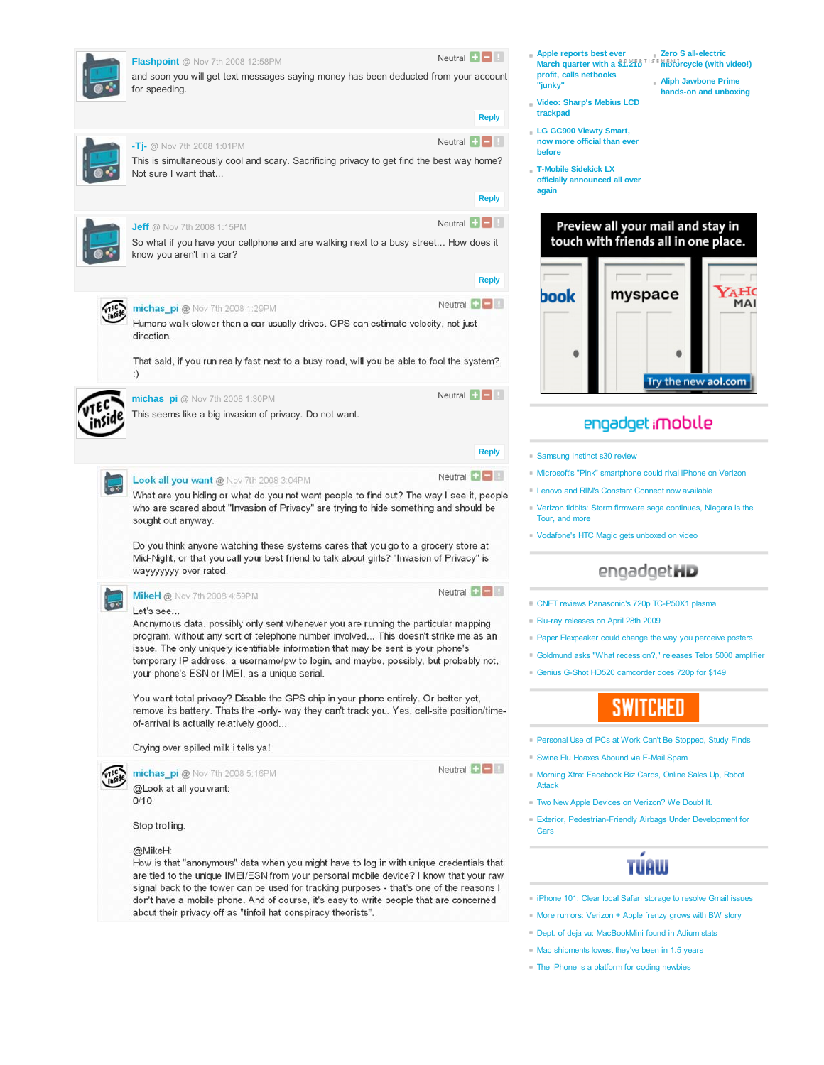| Flashpoint @ Nov 7th 2008 12:58PM                                                                                                                                                                                                                                                                                                                                                                        | Neutral $\blacksquare$ |
|----------------------------------------------------------------------------------------------------------------------------------------------------------------------------------------------------------------------------------------------------------------------------------------------------------------------------------------------------------------------------------------------------------|------------------------|
| and soon you will get text messages saying money has been deducted from your account<br>for speeding.                                                                                                                                                                                                                                                                                                    |                        |
|                                                                                                                                                                                                                                                                                                                                                                                                          | <b>Reply</b>           |
| $-T - $ Mov 7th 2008 1:01PM                                                                                                                                                                                                                                                                                                                                                                              | Neutral $\blacksquare$ |
| This is simultaneously cool and scary. Sacrificing privacy to get find the best way home?<br>Not sure I want that                                                                                                                                                                                                                                                                                        |                        |
|                                                                                                                                                                                                                                                                                                                                                                                                          | <b>Reply</b>           |
| <b>Jeff</b> @ Nov 7th 2008 1:15PM                                                                                                                                                                                                                                                                                                                                                                        |                        |
| So what if you have your cellphone and are walking next to a busy street How does it<br>know you aren't in a car?                                                                                                                                                                                                                                                                                        |                        |
|                                                                                                                                                                                                                                                                                                                                                                                                          | <b>Reply</b>           |
| michas_pi@ Nov 7th 2008 1:29PM                                                                                                                                                                                                                                                                                                                                                                           | Neutral $\Box$         |
| Humans walk slower than a car usually drives. GPS can estimate velocity, not just<br>direction.                                                                                                                                                                                                                                                                                                          |                        |
| That said, if you run really fast next to a busy road, will you be able to fool the system?<br>:)                                                                                                                                                                                                                                                                                                        |                        |
| michas_pi @ Nov 7th 2008 1:30PM                                                                                                                                                                                                                                                                                                                                                                          | Neutral $\blacksquare$ |
| This seems like a big invasion of privacy. Do not want.                                                                                                                                                                                                                                                                                                                                                  |                        |
|                                                                                                                                                                                                                                                                                                                                                                                                          |                        |
|                                                                                                                                                                                                                                                                                                                                                                                                          | <b>Reply</b>           |
| Look all you want @ Nov 7th 2008 3:04PM                                                                                                                                                                                                                                                                                                                                                                  | Neutral $\Box$         |
| What are you hiding or what do you not want people to find out? The way I see it, people<br>who are scared about "Invasion of Privacy" are trying to hide something and should be<br>sought out anyway.                                                                                                                                                                                                  |                        |
| Do you think anyone watching these systems cares that you go to a grocery store at<br>Mid-Night, or that you call your best friend to talk about girls? "Invasion of Privacy" is<br>wayyyyyy over rated.                                                                                                                                                                                                 |                        |
| MikeH @ Nov 7th 2008 4:59PM                                                                                                                                                                                                                                                                                                                                                                              | Neutral $\blacksquare$ |
| Let's see                                                                                                                                                                                                                                                                                                                                                                                                |                        |
| Anonymous data, possibly only sent whenever you are running the particular mapping<br>program, without any sort of telephone number involved This doesn't strike me as an<br>issue. The only uniquely identifiable information that may be sent is your phone's<br>temporary IP address, a username/pw to login, and maybe, possibly, but probably not,<br>your phone's ESN or IMEI, as a unique serial. |                        |
|                                                                                                                                                                                                                                                                                                                                                                                                          |                        |
| You want total privacy? Disable the GPS chip in your phone entirely. Or better yet,<br>remove its battery. Thats the -only- way they can't track you. Yes, cell-site position/time-<br>of-arrival is actually relatively good                                                                                                                                                                            |                        |
| Crying over spilled milk i tells ya!                                                                                                                                                                                                                                                                                                                                                                     |                        |
| michas_pi @ Nov 7th 2008 5:16PM                                                                                                                                                                                                                                                                                                                                                                          | Neutral $\Box$         |
| @Look at all you want:<br>0/10                                                                                                                                                                                                                                                                                                                                                                           |                        |
| Stop trolling.                                                                                                                                                                                                                                                                                                                                                                                           |                        |
| @MikeH:<br>How is that "anonymous" data when you might have to log in with unique credentials that<br>are tied to the unique IMEI/ESN from your personal mobile device? I know that your raw<br>signal back to the tower can be used for tracking purposes - that's one of the reasons I<br>don't have a mobile phone. And of course, it's easy to write people that are concerned                       |                        |

about their privacy off as "tinfoil hat conspiracy theorists".

- **Apple reports best ever March quarter with a \$1.21b Zero S all-electric motorcycle (with video!) profit, calls netbooks "junky" Aliph Jawbone Prime**
	- **hands-on and unboxing**
- **Video: Sharp's Mebius LCD trackpad**
- **LG GC900 Viewty Smart, now more official than ever before**
- **T-Mobile Sidekick LX**
- **officially announced all over again**

## Preview all your mail and stay in touch with friends all in one place.



# engadget imobile

- Samsung Instinct s30 review
- Microsoft's "Pink" smartphone could rival iPhone on Verizon
- Lenovo and RIM's Constant Connect now available
- Verizon tidbits: Storm firmware saga continues, Niagara is the Tour, and more
- Vodafone's HTC Magic gets unboxed on video

# engadgetHD

- CNET reviews Panasonic's 720p TC-P50X1 plasma
- Blu-ray releases on April 28th 2009
- **Paper Flexpeaker could change the way you perceive posters**
- Goldmund asks "What recession?," releases Telos 5000 amplifier
- Genius G-Shot HD520 camcorder does 720p for \$149

# **SWITCHED**

- Personal Use of PCs at Work Can't Be Stopped, Study Finds
- Swine Flu Hoaxes Abound via E-Mail Spam
- Morning Xtra: Facebook Biz Cards, Online Sales Up, Robot Attack
- Two New Apple Devices on Verizon? We Doubt It.
- Exterior, Pedestrian-Friendly Airbags Under Development for Cars

# **TUAW**

- iPhone 101: Clear local Safari storage to resolve Gmail issues
- **More rumors: Verizon + Apple frenzy grows with BW story**
- Dept. of deja vu: MacBookMini found in Adium stats
- Mac shipments lowest they've been in 1.5 years
- The iPhone is a platform for coding newbies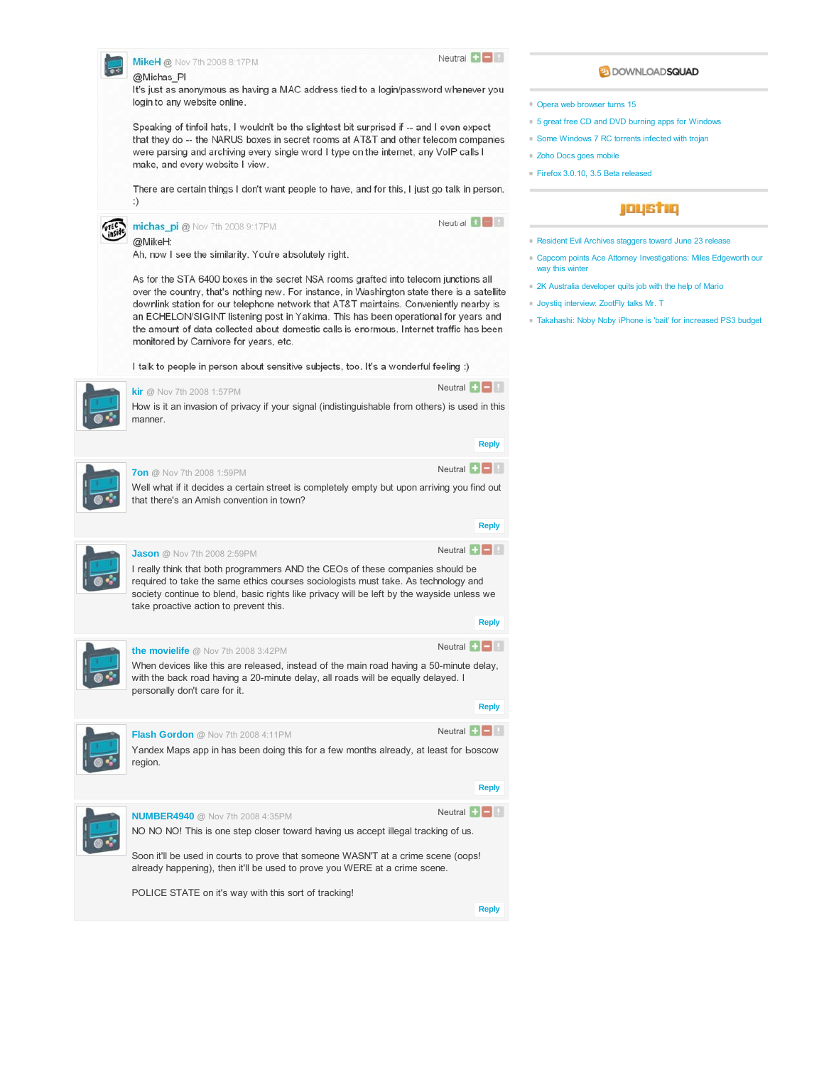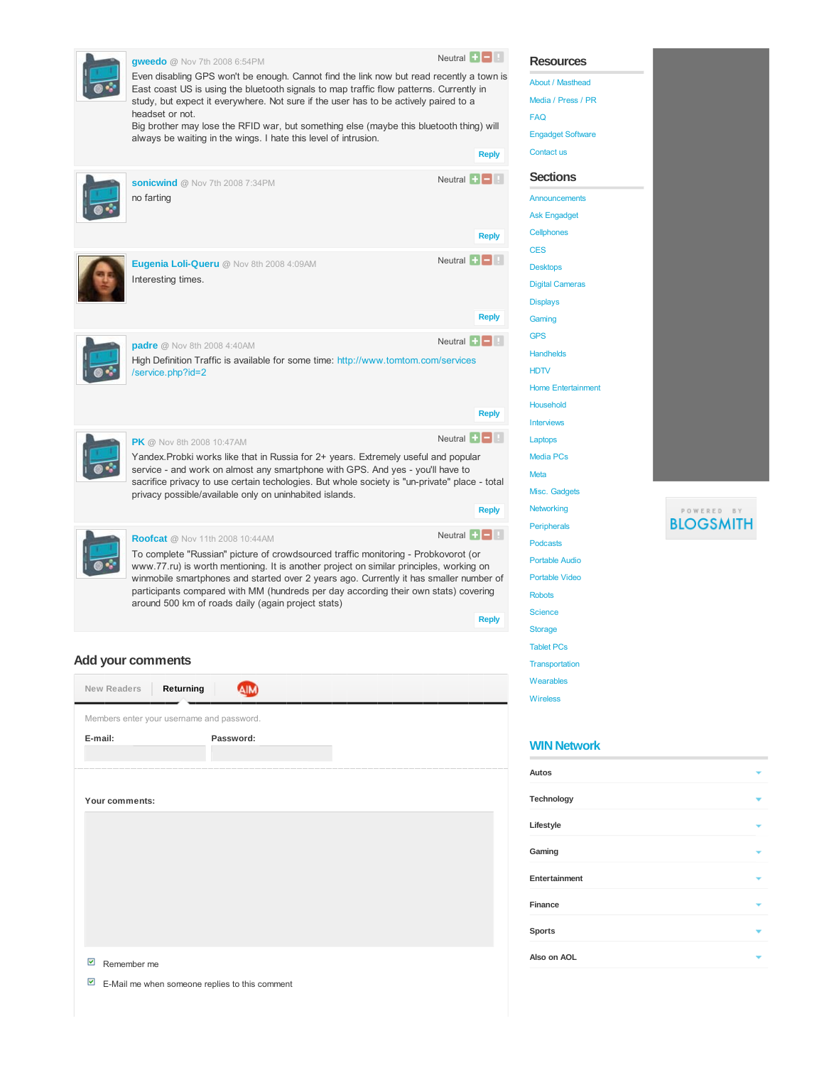|  | <b>gweedo</b> @ Nov 7th 2008 6:54PM<br>Even disabling GPS won't be enough. Cannot find the link now but read recently a town is<br>East coast US is using the bluetooth signals to map traffic flow patterns. Currently in<br>study, but expect it everywhere. Not sure if the user has to be actively paired to a<br>headset or not.                                                                                | Neutral $\blacksquare$         |
|--|----------------------------------------------------------------------------------------------------------------------------------------------------------------------------------------------------------------------------------------------------------------------------------------------------------------------------------------------------------------------------------------------------------------------|--------------------------------|
|  | Big brother may lose the RFID war, but something else (maybe this bluetooth thing) will<br>always be waiting in the wings. I hate this level of intrusion.                                                                                                                                                                                                                                                           |                                |
|  |                                                                                                                                                                                                                                                                                                                                                                                                                      | <b>Reply</b>                   |
|  | sonicwind @ Nov 7th 2008 7:34PM<br>no farting                                                                                                                                                                                                                                                                                                                                                                        | Neutral $\blacksquare$         |
|  |                                                                                                                                                                                                                                                                                                                                                                                                                      | <b>Reply</b>                   |
|  | Eugenia Loli-Queru @ Nov 8th 2008 4:09AM<br>Interesting times.                                                                                                                                                                                                                                                                                                                                                       | Neutral $\left  \cdot \right $ |
|  |                                                                                                                                                                                                                                                                                                                                                                                                                      | <b>Reply</b>                   |
|  |                                                                                                                                                                                                                                                                                                                                                                                                                      | Neutral $\Box$                 |
|  | <b>padre</b> @ Nov 8th 2008 4:40AM<br>High Definition Traffic is available for some time: http://www.tomtom.com/services<br>/service.php?id=2                                                                                                                                                                                                                                                                        |                                |
|  |                                                                                                                                                                                                                                                                                                                                                                                                                      | <b>Reply</b>                   |
|  | <b>PK</b> @ Nov 8th 2008 10:47AM                                                                                                                                                                                                                                                                                                                                                                                     | Neutral $\Box$                 |
|  | Yandex. Probki works like that in Russia for 2+ years. Extremely useful and popular<br>service - and work on almost any smartphone with GPS. And yes - you'll have to<br>sacrifice privacy to use certain techologies. But whole society is "un-private" place - total<br>privacy possible/available only on uninhabited islands.                                                                                    |                                |
|  |                                                                                                                                                                                                                                                                                                                                                                                                                      | <b>Reply</b>                   |
|  | <b>Roofcat</b> @ Nov 11th 2008 10:44AM                                                                                                                                                                                                                                                                                                                                                                               | Neutral $\Box$                 |
|  | To complete "Russian" picture of crowdsourced traffic monitoring - Probkovorot (or<br>www.77.ru) is worth mentioning. It is another project on similar principles, working on<br>winmobile smartphones and started over 2 years ago. Currently it has smaller number of<br>participants compared with MM (hundreds per day according their own stats) covering<br>around 500 km of roads daily (again project stats) |                                |
|  |                                                                                                                                                                                                                                                                                                                                                                                                                      | <b>Reply</b>                   |
|  |                                                                                                                                                                                                                                                                                                                                                                                                                      |                                |

### **Add your comments**

| Returning<br>New Readers                                                  |           |  |  |  |  |
|---------------------------------------------------------------------------|-----------|--|--|--|--|
| Members enter your username and password.                                 |           |  |  |  |  |
| E-mail:                                                                   | Password: |  |  |  |  |
|                                                                           |           |  |  |  |  |
|                                                                           |           |  |  |  |  |
| Your comments:                                                            |           |  |  |  |  |
|                                                                           |           |  |  |  |  |
|                                                                           |           |  |  |  |  |
|                                                                           |           |  |  |  |  |
|                                                                           |           |  |  |  |  |
|                                                                           |           |  |  |  |  |
|                                                                           |           |  |  |  |  |
|                                                                           |           |  |  |  |  |
| $\overline{\mathbf{v}}$<br>Remember me                                    |           |  |  |  |  |
| $\overline{\mathbf{v}}$<br>E-Mail me when someone replies to this comment |           |  |  |  |  |

| About / Masthead          |  |  |  |
|---------------------------|--|--|--|
| Media / Press / PR        |  |  |  |
| <b>FAQ</b>                |  |  |  |
| <b>Engadget Software</b>  |  |  |  |
| Contact us                |  |  |  |
| <b>Sections</b>           |  |  |  |
| Announcements             |  |  |  |
| Ask Engadget              |  |  |  |
| Cellphones                |  |  |  |
| <b>CES</b>                |  |  |  |
| <b>Desktops</b>           |  |  |  |
| <b>Digital Cameras</b>    |  |  |  |
| <b>Displays</b>           |  |  |  |
| Gaming                    |  |  |  |
| <b>GPS</b>                |  |  |  |
| <b>Handhelds</b>          |  |  |  |
| <b>HDTV</b>               |  |  |  |
| <b>Home Entertainment</b> |  |  |  |
| <b>Household</b>          |  |  |  |
| <b>Interviews</b>         |  |  |  |
| Laptops                   |  |  |  |
| <b>Media PCs</b>          |  |  |  |
| <b>Meta</b>               |  |  |  |
| Misc. Gadgets             |  |  |  |
| Networking                |  |  |  |
| <b>Peripherals</b>        |  |  |  |
| <b>Podcasts</b>           |  |  |  |
| <b>Portable Audio</b>     |  |  |  |
| <b>Portable Video</b>     |  |  |  |
| <b>Robots</b>             |  |  |  |
| <b>Science</b>            |  |  |  |
| <b>Storage</b>            |  |  |  |
| <b>Tablet PCs</b>         |  |  |  |
| <b>Transportation</b>     |  |  |  |
| Wearables                 |  |  |  |
| <b>Wireless</b>           |  |  |  |
|                           |  |  |  |

**Resources**



### **WIN Network**

| Autos         |  |
|---------------|--|
| Technology    |  |
| Lifestyle     |  |
| Gaming        |  |
| Entertainment |  |
| Finance       |  |
| <b>Sports</b> |  |
| Also on AOL   |  |